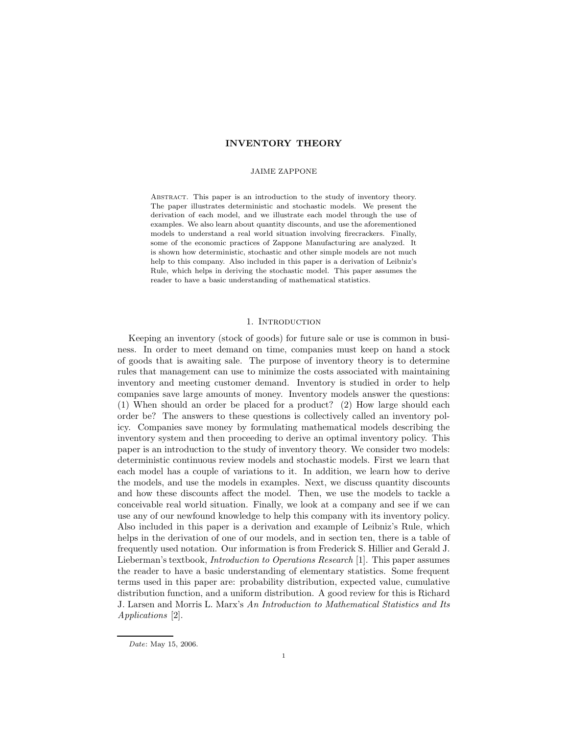## INVENTORY THEORY

### JAIME ZAPPONE

Abstract. This paper is an introduction to the study of inventory theory. The paper illustrates deterministic and stochastic models. We present the derivation of each model, and we illustrate each model through the use of examples. We also learn about quantity discounts, and use the aforementioned models to understand a real world situation involving firecrackers. Finally, some of the economic practices of Zappone Manufacturing are analyzed. It is shown how deterministic, stochastic and other simple models are not much help to this company. Also included in this paper is a derivation of Leibniz's Rule, which helps in deriving the stochastic model. This paper assumes the reader to have a basic understanding of mathematical statistics.

## 1. Introduction

Keeping an inventory (stock of goods) for future sale or use is common in business. In order to meet demand on time, companies must keep on hand a stock of goods that is awaiting sale. The purpose of inventory theory is to determine rules that management can use to minimize the costs associated with maintaining inventory and meeting customer demand. Inventory is studied in order to help companies save large amounts of money. Inventory models answer the questions: (1) When should an order be placed for a product? (2) How large should each order be? The answers to these questions is collectively called an inventory policy. Companies save money by formulating mathematical models describing the inventory system and then proceeding to derive an optimal inventory policy. This paper is an introduction to the study of inventory theory. We consider two models: deterministic continuous review models and stochastic models. First we learn that each model has a couple of variations to it. In addition, we learn how to derive the models, and use the models in examples. Next, we discuss quantity discounts and how these discounts affect the model. Then, we use the models to tackle a conceivable real world situation. Finally, we look at a company and see if we can use any of our newfound knowledge to help this company with its inventory policy. Also included in this paper is a derivation and example of Leibniz's Rule, which helps in the derivation of one of our models, and in section ten, there is a table of frequently used notation. Our information is from Frederick S. Hillier and Gerald J. Lieberman's textbook, Introduction to Operations Research [1]. This paper assumes the reader to have a basic understanding of elementary statistics. Some frequent terms used in this paper are: probability distribution, expected value, cumulative distribution function, and a uniform distribution. A good review for this is Richard J. Larsen and Morris L. Marx's An Introduction to Mathematical Statistics and Its Applications [2].

Date: May 15, 2006.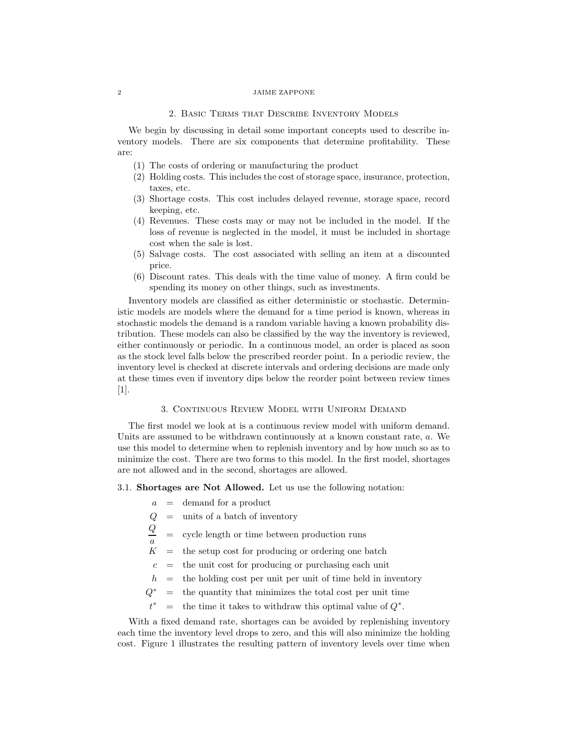## 2. Basic Terms that Describe Inventory Models

We begin by discussing in detail some important concepts used to describe inventory models. There are six components that determine profitability. These are:

- (1) The costs of ordering or manufacturing the product
- (2) Holding costs. This includes the cost of storage space, insurance, protection, taxes, etc.
- (3) Shortage costs. This cost includes delayed revenue, storage space, record keeping, etc.
- (4) Revenues. These costs may or may not be included in the model. If the loss of revenue is neglected in the model, it must be included in shortage cost when the sale is lost.
- (5) Salvage costs. The cost associated with selling an item at a discounted price.
- (6) Discount rates. This deals with the time value of money. A firm could be spending its money on other things, such as investments.

Inventory models are classified as either deterministic or stochastic. Deterministic models are models where the demand for a time period is known, whereas in stochastic models the demand is a random variable having a known probability distribution. These models can also be classified by the way the inventory is reviewed, either continuously or periodic. In a continuous model, an order is placed as soon as the stock level falls below the prescribed reorder point. In a periodic review, the inventory level is checked at discrete intervals and ordering decisions are made only at these times even if inventory dips below the reorder point between review times [1].

# 3. Continuous Review Model with Uniform Demand

The first model we look at is a continuous review model with uniform demand. Units are assumed to be withdrawn continuously at a known constant rate, a. We use this model to determine when to replenish inventory and by how much so as to minimize the cost. There are two forms to this model. In the first model, shortages are not allowed and in the second, shortages are allowed.

3.1. Shortages are Not Allowed. Let us use the following notation:

- $a =$  demand for a product
- $Q =$  units of a batch of inventory

 $\it{Q}$ a = cycle length or time between production runs

- $K$  = the setup cost for producing or ordering one batch
- $c =$  the unit cost for producing or purchasing each unit
- $h =$  the holding cost per unit per unit of time held in inventory
- $Q^*$  $=$  the quantity that minimizes the total cost per unit time
- $t^\ast$ \* = the time it takes to withdraw this optimal value of  $Q^*$ .

With a fixed demand rate, shortages can be avoided by replenishing inventory each time the inventory level drops to zero, and this will also minimize the holding cost. Figure 1 illustrates the resulting pattern of inventory levels over time when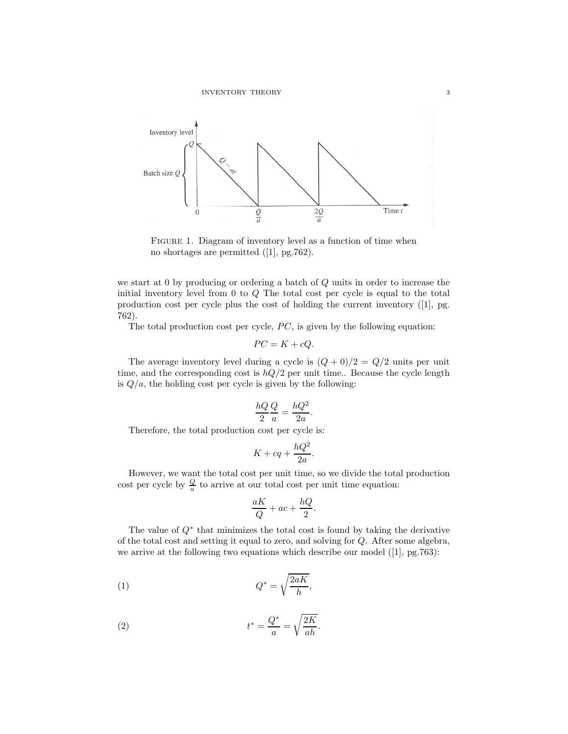

FIGURE 1. Diagram of inventory level as a function of time when no shortages are permitted ([1], pg.762).

we start at 0 by producing or ordering a batch of Q units in order to increase the initial inventory level from 0 to Q The total cost per cycle is equal to the total production cost per cycle plus the cost of holding the current inventory ([1], pg. 762).

The total production cost per cycle,  $PC$ , is given by the following equation:

$$
PC = K + cQ.
$$

The average inventory level during a cycle is  $(Q + 0)/2 = Q/2$  units per unit time, and the corresponding cost is  $hQ/2$  per unit time.. Because the cycle length is  $Q/a$ , the holding cost per cycle is given by the following:

$$
\frac{hQ}{2}\frac{Q}{a} = \frac{hQ^2}{2a}.
$$

Therefore, the total production cost per cycle is:

$$
K + cq + \frac{hQ^2}{2a}.
$$

However, we want the total cost per unit time, so we divide the total production cost per cycle by  $\frac{Q}{a}$  to arrive at our total cost per unit time equation:

$$
\frac{aK}{Q} + ac + \frac{hQ}{2}.
$$

The value of Q<sup>∗</sup> that minimizes the total cost is found by taking the derivative of the total cost and setting it equal to zero, and solving for Q. After some algebra, we arrive at the following two equations which describe our model ([1], pg.763):

$$
(1) \tQ^* = \sqrt{\frac{2aK}{h}},
$$

(2) 
$$
t^* = \frac{Q^*}{a} = \sqrt{\frac{2K}{ah}}.
$$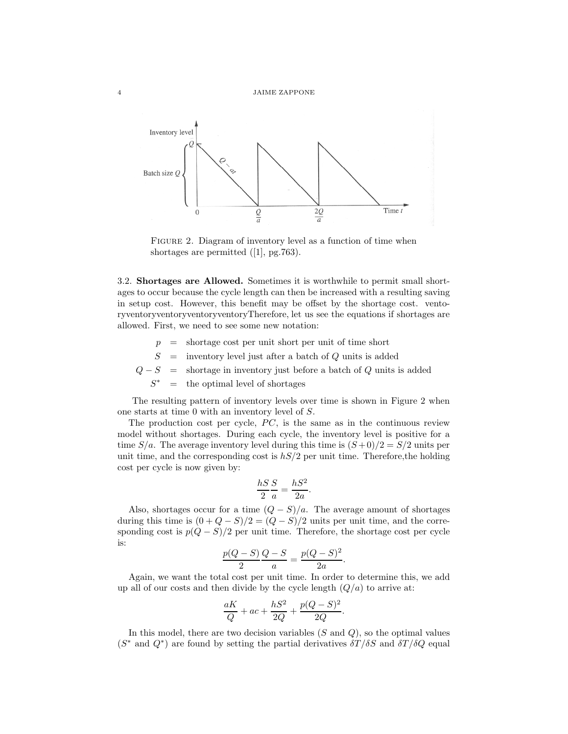

FIGURE 2. Diagram of inventory level as a function of time when shortages are permitted ([1], pg.763).

3.2. Shortages are Allowed. Sometimes it is worthwhile to permit small shortages to occur because the cycle length can then be increased with a resulting saving in setup cost. However, this benefit may be offset by the shortage cost. ventoryventoryventoryventoryventoryTherefore, let us see the equations if shortages are allowed. First, we need to see some new notation:

- $p =$  shortage cost per unit short per unit of time short
- $S =$  inventory level just after a batch of Q units is added
- $Q-S$  = shortage in inventory just before a batch of Q units is added

 $S^*$  $=$  the optimal level of shortages

The resulting pattern of inventory levels over time is shown in Figure 2 when one starts at time 0 with an inventory level of S.

The production cost per cycle,  $PC$ , is the same as in the continuous review model without shortages. During each cycle, the inventory level is positive for a time  $S/a$ . The average inventory level during this time is  $(S+0)/2 = S/2$  units per unit time, and the corresponding cost is  $hS/2$  per unit time. Therefore, the holding cost per cycle is now given by:

$$
\frac{hS}{2}\frac{S}{a} = \frac{hS^2}{2a}.
$$

Also, shortages occur for a time  $(Q - S)/a$ . The average amount of shortages during this time is  $(0 + Q - S)/2 = (Q - S)/2$  units per unit time, and the corresponding cost is  $p(Q - S)/2$  per unit time. Therefore, the shortage cost per cycle is:

$$
\frac{p(Q-S)}{2}\frac{Q-S}{a} = \frac{p(Q-S)^2}{2a}
$$

.

Again, we want the total cost per unit time. In order to determine this, we add up all of our costs and then divide by the cycle length  $(Q/a)$  to arrive at:

$$
\frac{aK}{Q} + ac + \frac{hS^2}{2Q} + \frac{p(Q-S)^2}{2Q}.
$$

In this model, there are two decision variables  $(S \text{ and } Q)$ , so the optimal values  $(S^*$  and  $Q^*)$  are found by setting the partial derivatives  $\delta T/\delta S$  and  $\delta T/\delta Q$  equal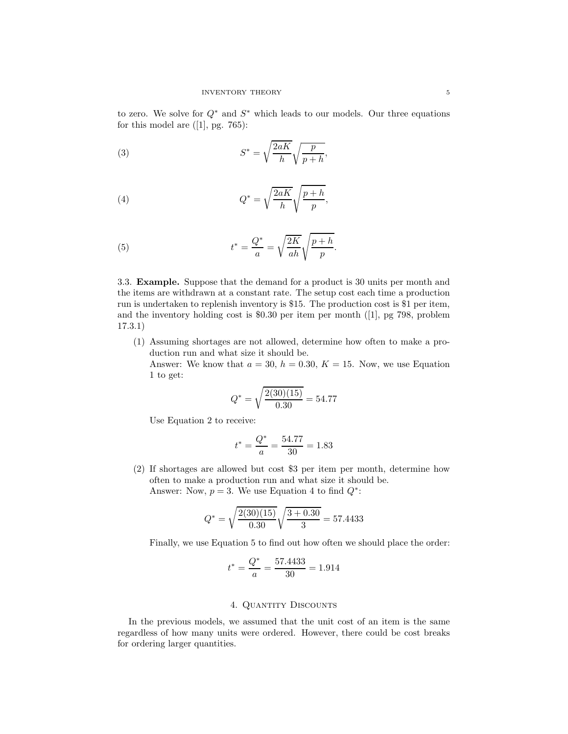to zero. We solve for  $Q^*$  and  $S^*$  which leads to our models. Our three equations for this model are  $([1],$  pg. 765):

(3) 
$$
S^* = \sqrt{\frac{2aK}{h}} \sqrt{\frac{p}{p+h}},
$$

(4) 
$$
Q^* = \sqrt{\frac{2aK}{h}} \sqrt{\frac{p+h}{p}},
$$

(5) 
$$
t^* = \frac{Q^*}{a} = \sqrt{\frac{2K}{ah}}\sqrt{\frac{p+h}{p}}.
$$

3.3. Example. Suppose that the demand for a product is 30 units per month and the items are withdrawn at a constant rate. The setup cost each time a production run is undertaken to replenish inventory is \$15. The production cost is \$1 per item, and the inventory holding cost is \$0.30 per item per month ([1], pg 798, problem 17.3.1)

(1) Assuming shortages are not allowed, determine how often to make a production run and what size it should be.

Answer: We know that  $a = 30$ ,  $h = 0.30$ ,  $K = 15$ . Now, we use Equation 1 to get:

$$
Q^* = \sqrt{\frac{2(30)(15)}{0.30}} = 54.77
$$

Use Equation 2 to receive:

$$
t^* = \frac{Q^*}{a} = \frac{54.77}{30} = 1.83
$$

(2) If shortages are allowed but cost \$3 per item per month, determine how often to make a production run and what size it should be. Answer: Now,  $p = 3$ . We use Equation 4 to find  $Q^*$ :

$$
Q^* = \sqrt{\frac{2(30)(15)}{0.30}} \sqrt{\frac{3 + 0.30}{3}} = 57.4433
$$

Finally, we use Equation 5 to find out how often we should place the order:

$$
t^* = \frac{Q^*}{a} = \frac{57.4433}{30} = 1.914
$$

### 4. QUANTITY DISCOUNTS

In the previous models, we assumed that the unit cost of an item is the same regardless of how many units were ordered. However, there could be cost breaks for ordering larger quantities.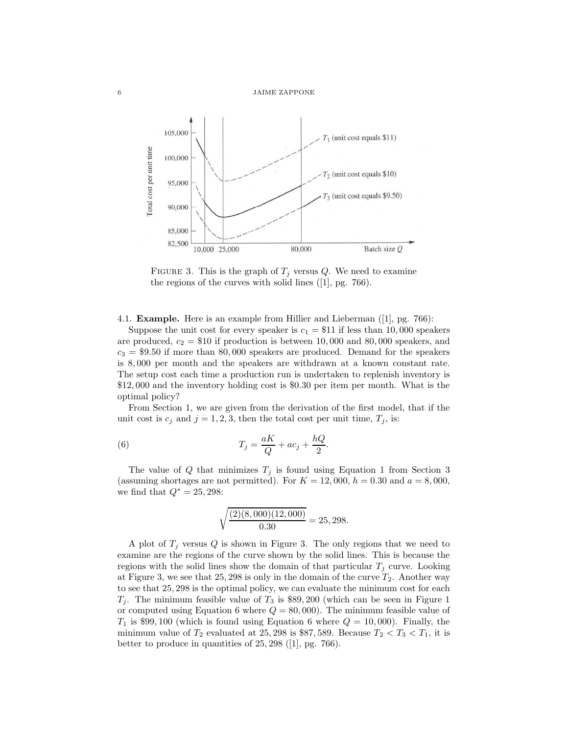

FIGURE 3. This is the graph of  $T_j$  versus Q. We need to examine the regions of the curves with solid lines ([1], pg. 766).

4.1. Example. Here is an example from Hillier and Lieberman ([1], pg. 766):

Suppose the unit cost for every speaker is  $c_1 = $11$  if less than 10,000 speakers are produced,  $c_2 = $10$  if production is between 10,000 and 80,000 speakers, and  $c_3 = $9.50$  if more than 80,000 speakers are produced. Demand for the speakers is 8, 000 per month and the speakers are withdrawn at a known constant rate. The setup cost each time a production run is undertaken to replenish inventory is \$12, 000 and the inventory holding cost is \$0.30 per item per month. What is the optimal policy?

From Section 1, we are given from the derivation of the first model, that if the unit cost is  $c_j$  and  $j = 1, 2, 3$ , then the total cost per unit time,  $T_j$ , is:

(6) 
$$
T_j = \frac{aK}{Q} + ac_j + \frac{hQ}{2}.
$$

The value of Q that minimizes  $T_j$  is found using Equation 1 from Section 3 (assuming shortages are not permitted). For  $K = 12,000$ ,  $h = 0.30$  and  $a = 8,000$ , we find that  $Q^* = 25,298$ :

$$
\sqrt{\frac{(2)(8,000)(12,000)}{0.30}} = 25,298.
$$

A plot of  $T_i$  versus Q is shown in Figure 3. The only regions that we need to examine are the regions of the curve shown by the solid lines. This is because the regions with the solid lines show the domain of that particular  $T_j$  curve. Looking at Figure 3, we see that  $25, 298$  is only in the domain of the curve  $T_2$ . Another way to see that 25, 298 is the optimal policy, we can evaluate the minimum cost for each  $T_j$ . The minimum feasible value of  $T_3$  is \$89, 200 (which can be seen in Figure 1 or computed using Equation 6 where  $Q = 80,000$ . The minimum feasible value of  $T_1$  is \$99, 100 (which is found using Equation 6 where  $Q = 10,000$ ). Finally, the minimum value of  $T_2$  evaluated at 25, 298 is \$87, 589. Because  $T_2 < T_3 < T_1$ , it is better to produce in quantities of 25, 298 ([1], pg. 766).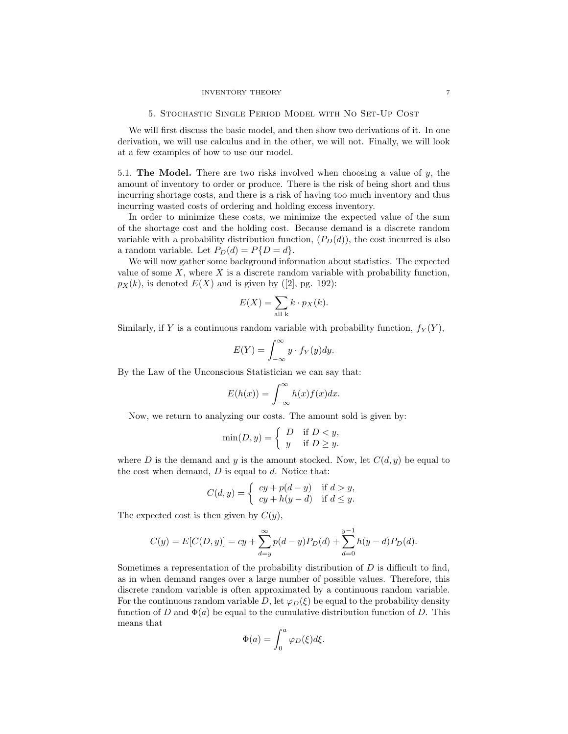We will first discuss the basic model, and then show two derivations of it. In one derivation, we will use calculus and in the other, we will not. Finally, we will look at a few examples of how to use our model.

5.1. The Model. There are two risks involved when choosing a value of  $y$ , the amount of inventory to order or produce. There is the risk of being short and thus incurring shortage costs, and there is a risk of having too much inventory and thus incurring wasted costs of ordering and holding excess inventory.

In order to minimize these costs, we minimize the expected value of the sum of the shortage cost and the holding cost. Because demand is a discrete random variable with a probability distribution function,  $(P_D(d))$ , the cost incurred is also a random variable. Let  $P_D(d) = P\{D = d\}.$ 

We will now gather some background information about statistics. The expected value of some  $X$ , where  $X$  is a discrete random variable with probability function,  $p_X(k)$ , is denoted  $E(X)$  and is given by ([2], pg. 192):

$$
E(X) = \sum_{\text{all } k} k \cdot p_X(k).
$$

Similarly, if Y is a continuous random variable with probability function,  $f_Y(Y)$ ,

$$
E(Y) = \int_{-\infty}^{\infty} y \cdot f_Y(y) dy.
$$

By the Law of the Unconscious Statistician we can say that:

$$
E(h(x)) = \int_{-\infty}^{\infty} h(x)f(x)dx.
$$

Now, we return to analyzing our costs. The amount sold is given by:

$$
\min(D, y) = \begin{cases} D & \text{if } D < y, \\ y & \text{if } D \ge y. \end{cases}
$$

where D is the demand and y is the amount stocked. Now, let  $C(d, y)$  be equal to the cost when demand,  $D$  is equal to  $d$ . Notice that:

$$
C(d, y) = \begin{cases} cy + p(d - y) & \text{if } d > y, \\ cy + h(y - d) & \text{if } d \le y. \end{cases}
$$

The expected cost is then given by  $C(y)$ ,

$$
C(y) = E[C(D, y)] = cy + \sum_{d=y}^{\infty} p(d-y)P_D(d) + \sum_{d=0}^{y-1} h(y-d)P_D(d).
$$

Sometimes a representation of the probability distribution of  $D$  is difficult to find, as in when demand ranges over a large number of possible values. Therefore, this discrete random variable is often approximated by a continuous random variable. For the continuous random variable D, let  $\varphi_D(\xi)$  be equal to the probability density function of D and  $\Phi(a)$  be equal to the cumulative distribution function of D. This means that

$$
\Phi(a) = \int_0^a \varphi_D(\xi) d\xi.
$$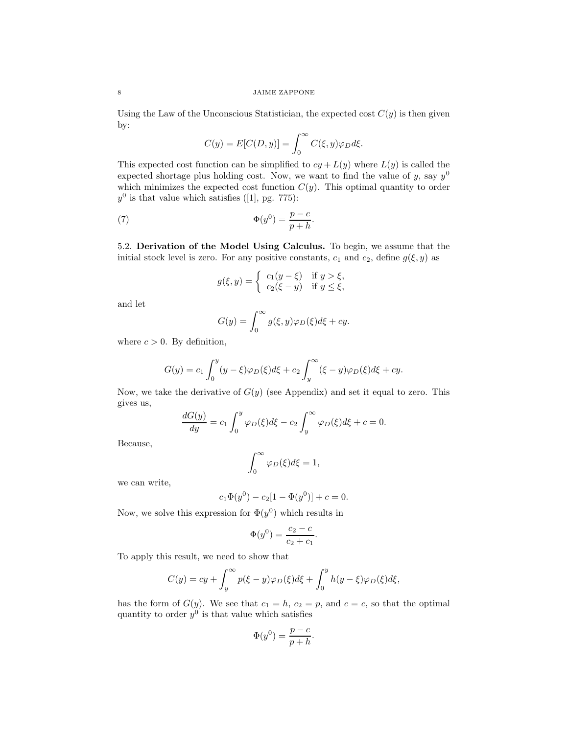Using the Law of the Unconscious Statistician, the expected cost  $C(y)$  is then given by:

$$
C(y) = E[C(D, y)] = \int_0^\infty C(\xi, y)\varphi_D d\xi.
$$

This expected cost function can be simplified to  $cy + L(y)$  where  $L(y)$  is called the expected shortage plus holding cost. Now, we want to find the value of y, say  $y^0$ which minimizes the expected cost function  $C(y)$ . This optimal quantity to order  $y^0$  is that value which satisfies ([1], pg. 775):

(7) 
$$
\Phi(y^0) = \frac{p-c}{p+h}.
$$

5.2. Derivation of the Model Using Calculus. To begin, we assume that the initial stock level is zero. For any positive constants,  $c_1$  and  $c_2$ , define  $g(\xi, y)$  as

$$
g(\xi, y) = \begin{cases} c_1(y - \xi) & \text{if } y > \xi, \\ c_2(\xi - y) & \text{if } y \le \xi, \end{cases}
$$

and let

$$
G(y) = \int_0^\infty g(\xi, y)\varphi_D(\xi)d\xi + cy.
$$

where  $c > 0$ . By definition,

$$
G(y) = c_1 \int_0^y (y - \xi) \varphi_D(\xi) d\xi + c_2 \int_y^\infty (\xi - y) \varphi_D(\xi) d\xi + cy.
$$

Now, we take the derivative of  $G(y)$  (see Appendix) and set it equal to zero. This gives us,

$$
\frac{dG(y)}{dy} = c_1 \int_0^y \varphi_D(\xi) d\xi - c_2 \int_y^\infty \varphi_D(\xi) d\xi + c = 0.
$$

Because,

$$
\int_0^\infty \varphi_D(\xi)d\xi=1,
$$

we can write,

$$
c_1\Phi(y^0) - c_2[1 - \Phi(y^0)] + c = 0.
$$

Now, we solve this expression for  $\Phi(y^0)$  which results in

$$
\Phi(y^0) = \frac{c_2 - c}{c_2 + c_1}.
$$

To apply this result, we need to show that

$$
C(y) = cy + \int_y^{\infty} p(\xi - y) \varphi_D(\xi) d\xi + \int_0^y h(y - \xi) \varphi_D(\xi) d\xi,
$$

has the form of  $G(y)$ . We see that  $c_1 = h$ ,  $c_2 = p$ , and  $c = c$ , so that the optimal quantity to order  $y^0$  is that value which satisfies

$$
\Phi(y^0) = \frac{p-c}{p+h}.
$$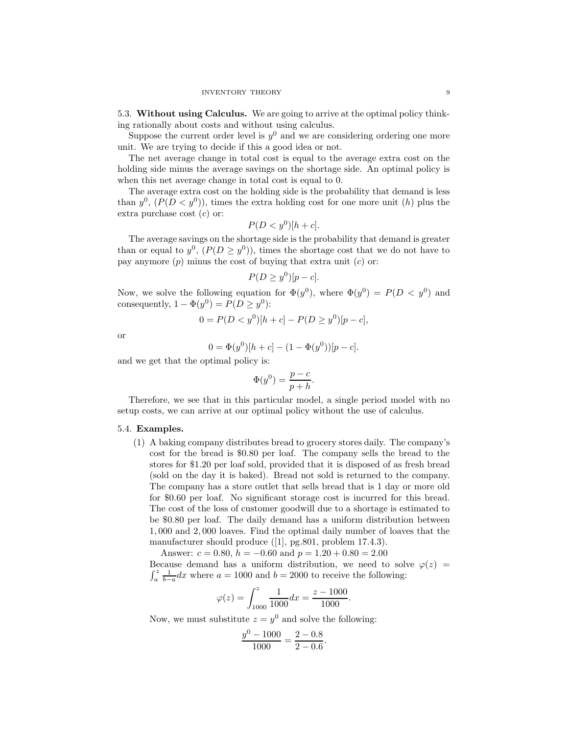5.3. Without using Calculus. We are going to arrive at the optimal policy thinking rationally about costs and without using calculus.

Suppose the current order level is  $y^0$  and we are considering ordering one more unit. We are trying to decide if this a good idea or not.

The net average change in total cost is equal to the average extra cost on the holding side minus the average savings on the shortage side. An optimal policy is when this net average change in total cost is equal to 0.

The average extra cost on the holding side is the probability that demand is less than  $y^0$ ,  $(P(D < y^0))$ , times the extra holding cost for one more unit (h) plus the extra purchase cost  $(c)$  or:

$$
P(D < y^0)[h+c].
$$

The average savings on the shortage side is the probability that demand is greater than or equal to  $y^0$ ,  $(P(D \ge y^0))$ , times the shortage cost that we do not have to pay anymore  $(p)$  minus the cost of buying that extra unit  $(c)$  or:

$$
P(D \ge y^0)[p-c].
$$

Now, we solve the following equation for  $\Phi(y^0)$ , where  $\Phi(y^0) = P(D < y^0)$  and consequently,  $1 - \Phi(y^0) = P(D \ge y^0)$ :

$$
0 = P(D < y^0)[h + c] - P(D \ge y^0)[p - c],
$$

or

$$
0 = \Phi(y^0)[h + c] - (1 - \Phi(y^0))[p - c].
$$

and we get that the optimal policy is:

$$
\Phi(y^0) = \frac{p-c}{p+h}.
$$

Therefore, we see that in this particular model, a single period model with no setup costs, we can arrive at our optimal policy without the use of calculus.

### 5.4. Examples.

(1) A baking company distributes bread to grocery stores daily. The company's cost for the bread is \$0.80 per loaf. The company sells the bread to the stores for \$1.20 per loaf sold, provided that it is disposed of as fresh bread (sold on the day it is baked). Bread not sold is returned to the company. The company has a store outlet that sells bread that is 1 day or more old for \$0.60 per loaf. No significant storage cost is incurred for this bread. The cost of the loss of customer goodwill due to a shortage is estimated to be \$0.80 per loaf. The daily demand has a uniform distribution between 1, 000 and 2, 000 loaves. Find the optimal daily number of loaves that the manufacturer should produce ([1], pg.801, problem 17.4.3).

Answer:  $c = 0.80$ ,  $h = -0.60$  and  $p = 1.20 + 0.80 = 2.00$ Because demand has a uniform distribution, we need to solve  $\varphi(z)$  =  $\int_a^z \frac{1}{b-a} dx$  where  $a = 1000$  and  $b = 2000$  to receive the following:

$$
\varphi(z) = \int_{1000}^{z} \frac{1}{1000} dx = \frac{z - 1000}{1000}.
$$

Now, we must substitute  $z = y^0$  and solve the following:

$$
\frac{y^0 - 1000}{1000} = \frac{2 - 0.8}{2 - 0.6}.
$$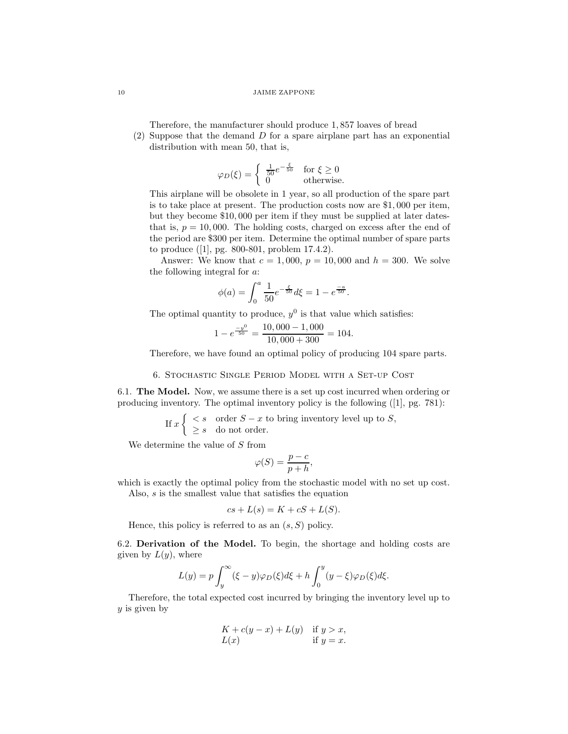Therefore, the manufacturer should produce 1, 857 loaves of bread

(2) Suppose that the demand D for a spare airplane part has an exponential distribution with mean 50, that is,

$$
\varphi_D(\xi) = \begin{cases} \frac{1}{50} e^{-\frac{\xi}{50}} & \text{for } \xi \ge 0\\ 0 & \text{otherwise.} \end{cases}
$$

This airplane will be obsolete in 1 year, so all production of the spare part is to take place at present. The production costs now are \$1, 000 per item, but they become \$10, 000 per item if they must be supplied at later datesthat is,  $p = 10,000$ . The holding costs, charged on excess after the end of the period are \$300 per item. Determine the optimal number of spare parts to produce ([1], pg. 800-801, problem 17.4.2).

Answer: We know that  $c = 1,000, p = 10,000$  and  $h = 300$ . We solve the following integral for a:

$$
\phi(a) = \int_0^a \frac{1}{50} e^{-\frac{\xi}{50}} d\xi = 1 - e^{\frac{-a}{50}}.
$$

The optimal quantity to produce,  $y^0$  is that value which satisfies:

$$
1 - e^{\frac{-y^0}{50}} = \frac{10,000 - 1,000}{10,000 + 300} = 104.
$$

Therefore, we have found an optimal policy of producing 104 spare parts.

### 6. Stochastic Single Period Model with a Set-up Cost

6.1. The Model. Now, we assume there is a set up cost incurred when ordering or producing inventory. The optimal inventory policy is the following ([1], pg. 781):

If 
$$
x \begin{cases} < s \\ > s \\ \geq s \end{cases}
$$
 order  $S - x$  to bring inventory level up to  $S$ ,

We determine the value of S from

$$
\varphi(S) = \frac{p-c}{p+h},
$$

which is exactly the optimal policy from the stochastic model with no set up cost.

Also, s is the smallest value that satisfies the equation

$$
cs + L(s) = K + cS + L(S).
$$

Hence, this policy is referred to as an  $(s, S)$  policy.

6.2. Derivation of the Model. To begin, the shortage and holding costs are given by  $L(y)$ , where

$$
L(y) = p \int_y^{\infty} (\xi - y) \varphi_D(\xi) d\xi + h \int_0^y (y - \xi) \varphi_D(\xi) d\xi.
$$

Therefore, the total expected cost incurred by bringing the inventory level up to  $y$  is given by

$$
K + c(y - x) + L(y) \quad \text{if } y > x,
$$
  
 
$$
L(x) \qquad \text{if } y = x.
$$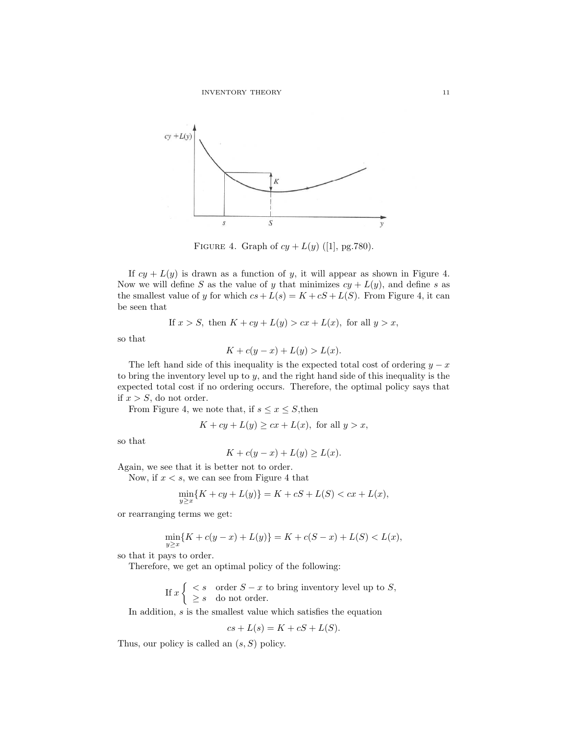

FIGURE 4. Graph of  $cy + L(y)$  ([1], pg.780).

If  $cy + L(y)$  is drawn as a function of y, it will appear as shown in Figure 4. Now we will define S as the value of y that minimizes  $cy + L(y)$ , and define s as the smallest value of y for which  $cs + L(s) = K + cS + L(S)$ . From Figure 4, it can be seen that

If 
$$
x > S
$$
, then  $K + cy + L(y) > cx + L(x)$ , for all  $y > x$ ,

so that

$$
K + c(y - x) + L(y) > L(x).
$$

The left hand side of this inequality is the expected total cost of ordering  $y - x$ to bring the inventory level up to  $y$ , and the right hand side of this inequality is the expected total cost if no ordering occurs. Therefore, the optimal policy says that if  $x > S$ , do not order.

From Figure 4, we note that, if  $s\leq x\leq S,$  then

$$
K + cy + L(y) \ge cx + L(x), \text{ for all } y > x,
$$

so that

$$
K + c(y - x) + L(y) \ge L(x).
$$

Again, we see that it is better not to order.

Now, if  $x < s$ , we can see from Figure 4 that

$$
\min_{y \ge x} \{ K + cy + L(y) \} = K + cS + L(S) < cx + L(x),
$$

or rearranging terms we get:

$$
\min_{y \ge x} \{ K + c(y - x) + L(y) \} = K + c(S - x) + L(S) < L(x),
$$

so that it pays to order.

Therefore, we get an optimal policy of the following:

If 
$$
x \begin{cases} < s \\ > s \\ \geq s \end{cases}
$$
 order  $S - x$  to bring inventory level up to  $S$ ,

In addition,  $s$  is the smallest value which satisfies the equation

$$
cs + L(s) = K + cS + L(S).
$$

Thus, our policy is called an  $(s, S)$  policy.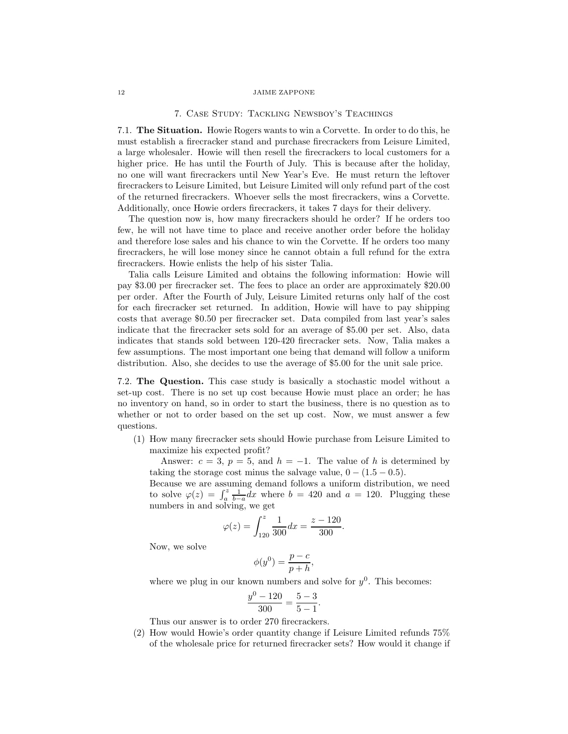#### 7. Case Study: Tackling Newsboy's Teachings

7.1. The Situation. Howie Rogers wants to win a Corvette. In order to do this, he must establish a firecracker stand and purchase firecrackers from Leisure Limited, a large wholesaler. Howie will then resell the firecrackers to local customers for a higher price. He has until the Fourth of July. This is because after the holiday, no one will want firecrackers until New Year's Eve. He must return the leftover firecrackers to Leisure Limited, but Leisure Limited will only refund part of the cost of the returned firecrackers. Whoever sells the most firecrackers, wins a Corvette. Additionally, once Howie orders firecrackers, it takes 7 days for their delivery.

The question now is, how many firecrackers should he order? If he orders too few, he will not have time to place and receive another order before the holiday and therefore lose sales and his chance to win the Corvette. If he orders too many firecrackers, he will lose money since he cannot obtain a full refund for the extra firecrackers. Howie enlists the help of his sister Talia.

Talia calls Leisure Limited and obtains the following information: Howie will pay \$3.00 per firecracker set. The fees to place an order are approximately \$20.00 per order. After the Fourth of July, Leisure Limited returns only half of the cost for each firecracker set returned. In addition, Howie will have to pay shipping costs that average \$0.50 per firecracker set. Data compiled from last year's sales indicate that the firecracker sets sold for an average of \$5.00 per set. Also, data indicates that stands sold between 120-420 firecracker sets. Now, Talia makes a few assumptions. The most important one being that demand will follow a uniform distribution. Also, she decides to use the average of \$5.00 for the unit sale price.

7.2. The Question. This case study is basically a stochastic model without a set-up cost. There is no set up cost because Howie must place an order; he has no inventory on hand, so in order to start the business, there is no question as to whether or not to order based on the set up cost. Now, we must answer a few questions.

(1) How many firecracker sets should Howie purchase from Leisure Limited to maximize his expected profit?

Answer:  $c = 3$ ,  $p = 5$ , and  $h = -1$ . The value of h is determined by taking the storage cost minus the salvage value,  $0 - (1.5 - 0.5)$ .

Because we are assuming demand follows a uniform distribution, we need to solve  $\varphi(z) = \int_a^z \frac{1}{b-a} dx$  where  $b = 420$  and  $a = 120$ . Plugging these numbers in and solving, we get

$$
\varphi(z) = \int_{120}^{z} \frac{1}{300} dx = \frac{z - 120}{300}.
$$

Now, we solve

$$
\phi(y^0) = \frac{p-c}{p+h},
$$

where we plug in our known numbers and solve for  $y^0$ . This becomes:

$$
\frac{y^0 - 120}{300} = \frac{5 - 3}{5 - 1}.
$$

Thus our answer is to order 270 firecrackers.

(2) How would Howie's order quantity change if Leisure Limited refunds 75% of the wholesale price for returned firecracker sets? How would it change if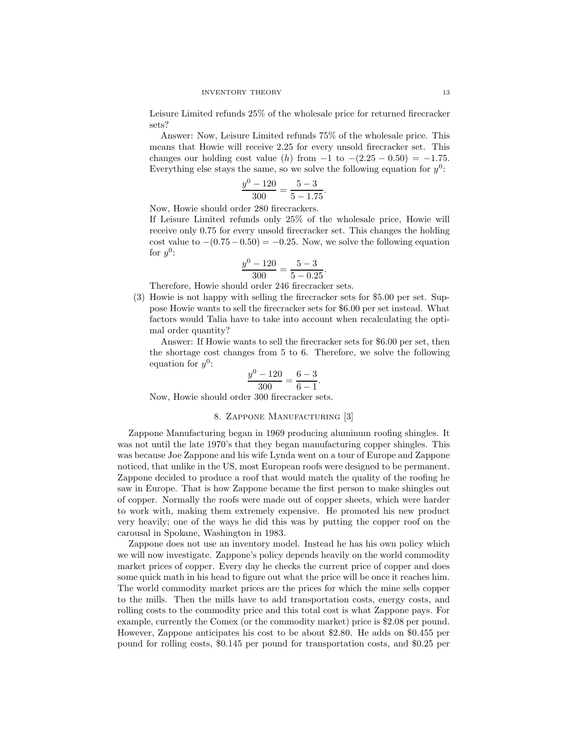Leisure Limited refunds 25% of the wholesale price for returned firecracker sets?

Answer: Now, Leisure Limited refunds 75% of the wholesale price. This means that Howie will receive 2.25 for every unsold firecracker set. This changes our holding cost value (h) from  $-1$  to  $-(2.25 - 0.50) = -1.75$ . Everything else stays the same, so we solve the following equation for  $y^0$ :

$$
\frac{y^0 - 120}{300} = \frac{5 - 3}{5 - 1.75}.
$$

Now, Howie should order 280 firecrackers.

If Leisure Limited refunds only 25% of the wholesale price, Howie will receive only 0.75 for every unsold firecracker set. This changes the holding cost value to  $-(0.75-0.50) = -0.25$ . Now, we solve the following equation for  $y^0$ :

$$
\frac{y^0 - 120}{300} = \frac{5 - 3}{5 - 0.25}.
$$

Therefore, Howie should order 246 firecracker sets.

(3) Howie is not happy with selling the firecracker sets for \$5.00 per set. Suppose Howie wants to sell the firecracker sets for \$6.00 per set instead. What factors would Talia have to take into account when recalculating the optimal order quantity?

Answer: If Howie wants to sell the firecracker sets for \$6.00 per set, then the shortage cost changes from 5 to 6. Therefore, we solve the following equation for  $y^0$ :

$$
\frac{y^0 - 120}{300} = \frac{6 - 3}{6 - 1}.
$$

Now, Howie should order 300 firecracker sets.

## 8. Zappone Manufacturing [3]

Zappone Manufacturing began in 1969 producing aluminum roofing shingles. It was not until the late 1970's that they began manufacturing copper shingles. This was because Joe Zappone and his wife Lynda went on a tour of Europe and Zappone noticed, that unlike in the US, most European roofs were designed to be permanent. Zappone decided to produce a roof that would match the quality of the roofing he saw in Europe. That is how Zappone became the first person to make shingles out of copper. Normally the roofs were made out of copper sheets, which were harder to work with, making them extremely expensive. He promoted his new product very heavily; one of the ways he did this was by putting the copper roof on the carousal in Spokane, Washington in 1983.

Zappone does not use an inventory model. Instead he has his own policy which we will now investigate. Zappone's policy depends heavily on the world commodity market prices of copper. Every day he checks the current price of copper and does some quick math in his head to figure out what the price will be once it reaches him. The world commodity market prices are the prices for which the mine sells copper to the mills. Then the mills have to add transportation costs, energy costs, and rolling costs to the commodity price and this total cost is what Zappone pays. For example, currently the Comex (or the commodity market) price is \$2.08 per pound. However, Zappone anticipates his cost to be about \$2.80. He adds on \$0.455 per pound for rolling costs, \$0.145 per pound for transportation costs, and \$0.25 per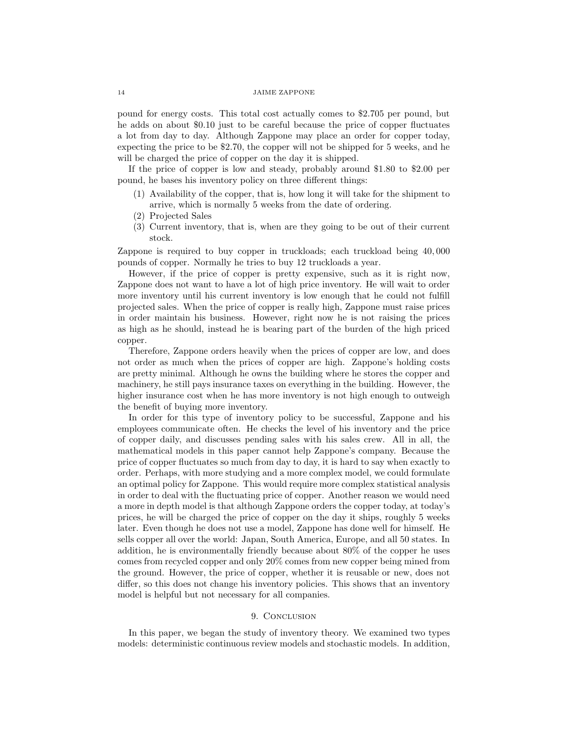pound for energy costs. This total cost actually comes to \$2.705 per pound, but he adds on about \$0.10 just to be careful because the price of copper fluctuates a lot from day to day. Although Zappone may place an order for copper today, expecting the price to be \$2.70, the copper will not be shipped for 5 weeks, and he will be charged the price of copper on the day it is shipped.

If the price of copper is low and steady, probably around \$1.80 to \$2.00 per pound, he bases his inventory policy on three different things:

- (1) Availability of the copper, that is, how long it will take for the shipment to arrive, which is normally 5 weeks from the date of ordering.
- (2) Projected Sales
- (3) Current inventory, that is, when are they going to be out of their current stock.

Zappone is required to buy copper in truckloads; each truckload being 40, 000 pounds of copper. Normally he tries to buy 12 truckloads a year.

However, if the price of copper is pretty expensive, such as it is right now, Zappone does not want to have a lot of high price inventory. He will wait to order more inventory until his current inventory is low enough that he could not fulfill projected sales. When the price of copper is really high, Zappone must raise prices in order maintain his business. However, right now he is not raising the prices as high as he should, instead he is bearing part of the burden of the high priced copper.

Therefore, Zappone orders heavily when the prices of copper are low, and does not order as much when the prices of copper are high. Zappone's holding costs are pretty minimal. Although he owns the building where he stores the copper and machinery, he still pays insurance taxes on everything in the building. However, the higher insurance cost when he has more inventory is not high enough to outweigh the benefit of buying more inventory.

In order for this type of inventory policy to be successful, Zappone and his employees communicate often. He checks the level of his inventory and the price of copper daily, and discusses pending sales with his sales crew. All in all, the mathematical models in this paper cannot help Zappone's company. Because the price of copper fluctuates so much from day to day, it is hard to say when exactly to order. Perhaps, with more studying and a more complex model, we could formulate an optimal policy for Zappone. This would require more complex statistical analysis in order to deal with the fluctuating price of copper. Another reason we would need a more in depth model is that although Zappone orders the copper today, at today's prices, he will be charged the price of copper on the day it ships, roughly 5 weeks later. Even though he does not use a model, Zappone has done well for himself. He sells copper all over the world: Japan, South America, Europe, and all 50 states. In addition, he is environmentally friendly because about 80% of the copper he uses comes from recycled copper and only 20% comes from new copper being mined from the ground. However, the price of copper, whether it is reusable or new, does not differ, so this does not change his inventory policies. This shows that an inventory model is helpful but not necessary for all companies.

### 9. CONCLUSION

In this paper, we began the study of inventory theory. We examined two types models: deterministic continuous review models and stochastic models. In addition,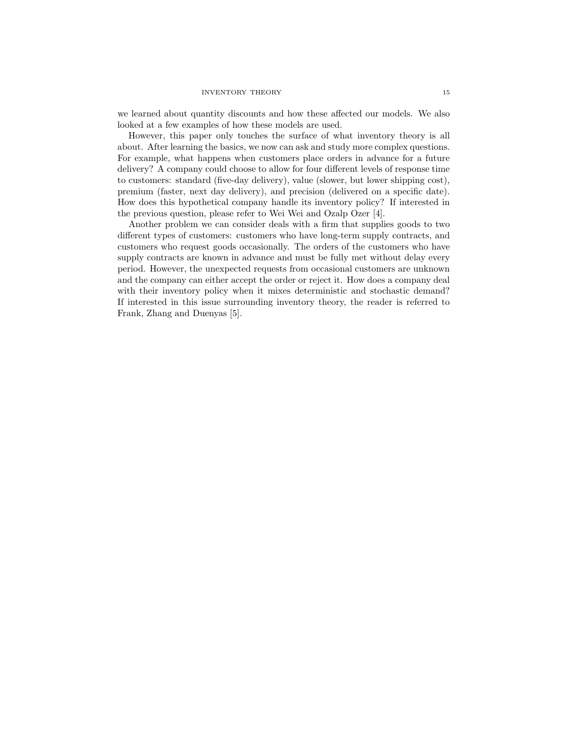we learned about quantity discounts and how these affected our models. We also looked at a few examples of how these models are used.

However, this paper only touches the surface of what inventory theory is all about. After learning the basics, we now can ask and study more complex questions. For example, what happens when customers place orders in advance for a future delivery? A company could choose to allow for four different levels of response time to customers: standard (five-day delivery), value (slower, but lower shipping cost), premium (faster, next day delivery), and precision (delivered on a specific date). How does this hypothetical company handle its inventory policy? If interested in the previous question, please refer to Wei Wei and Ozalp Ozer [4].

Another problem we can consider deals with a firm that supplies goods to two different types of customers: customers who have long-term supply contracts, and customers who request goods occasionally. The orders of the customers who have supply contracts are known in advance and must be fully met without delay every period. However, the unexpected requests from occasional customers are unknown and the company can either accept the order or reject it. How does a company deal with their inventory policy when it mixes deterministic and stochastic demand? If interested in this issue surrounding inventory theory, the reader is referred to Frank, Zhang and Duenyas [5].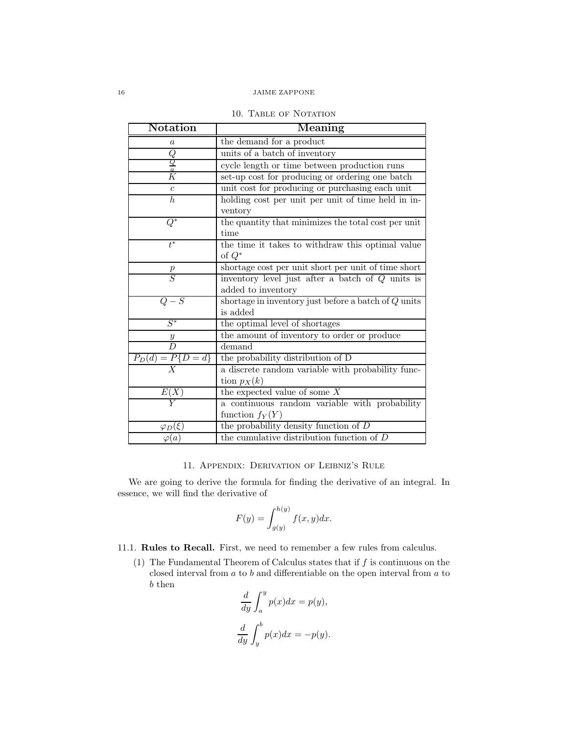| 10. TABLE OF NOTATION |
|-----------------------|
|-----------------------|

| Notation                | Meaning                                                |
|-------------------------|--------------------------------------------------------|
| a                       | the demand for a product                               |
|                         | units of a batch of inventory                          |
| $\frac{Q}{\frac{a}{K}}$ | cycle length or time between production runs           |
|                         | set-up cost for producing or ordering one batch        |
| $\boldsymbol{c}$        | unit cost for producing or purchasing each unit        |
| $\overline{h}$          | holding cost per unit per unit of time held in in-     |
|                         | ventory                                                |
| $Q^*$                   | the quantity that minimizes the total cost per unit    |
|                         | time                                                   |
| $t^*$                   | the time it takes to withdraw this optimal value       |
|                         | of $Q^*$                                               |
| $rac{p}{S}$             | shortage cost per unit short per unit of time short    |
|                         | inventory level just after a batch of $Q$ units is     |
|                         | added to inventory                                     |
| $Q-S$                   | shortage in inventory just before a batch of $Q$ units |
|                         | is added                                               |
| $S^*$                   | the optimal level of shortages                         |
| $\frac{y}{D}$           | the amount of inventory to order or produce            |
|                         | demand                                                 |
| $P_D(d) = P\{D = d\}$   | the probability distribution of D                      |
| $\boldsymbol{X}$        | a discrete random variable with probability func-      |
|                         | tion $p_X(k)$                                          |
|                         | the expected value of some $X$                         |
|                         | a continuous random variable with probability          |
|                         | function $f_Y(Y)$                                      |
| $\varphi_D(\xi)$        | the probability density function of $D$                |
| $\varphi(a)$            | the cumulative distribution function of $D$            |

## 11. Appendix: Derivation of Leibniz's Rule

We are going to derive the formula for finding the derivative of an integral. In essence, we will find the derivative of

$$
F(y) = \int_{g(y)}^{h(y)} f(x, y) dx.
$$

# 11.1. Rules to Recall. First, we need to remember a few rules from calculus.

(1) The Fundamental Theorem of Calculus states that if  $f$  is continuous on the closed interval from  $a$  to  $b$  and differentiable on the open interval from  $a$  to b then

$$
\frac{d}{dy} \int_{a}^{y} p(x)dx = p(y),
$$
  

$$
\frac{d}{dy} \int_{y}^{b} p(x)dx = -p(y).
$$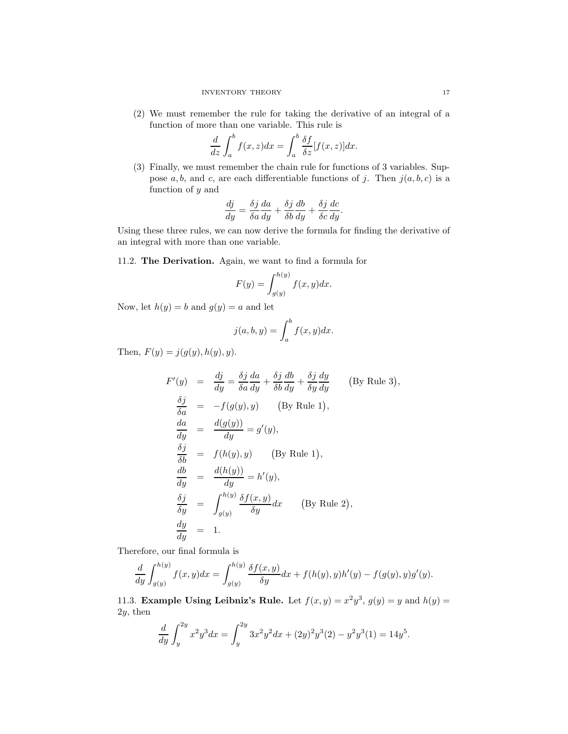(2) We must remember the rule for taking the derivative of an integral of a function of more than one variable. This rule is

$$
\frac{d}{dz}\int_a^b f(x,z)dx = \int_a^b \frac{\delta f}{\delta z} [f(x,z)]dx.
$$

(3) Finally, we must remember the chain rule for functions of 3 variables. Suppose a, b, and c, are each differentiable functions of j. Then  $j(a, b, c)$  is a function of  $y$  and

$$
\frac{dj}{dy} = \frac{\delta j}{\delta a} \frac{da}{dy} + \frac{\delta j}{\delta b} \frac{db}{dy} + \frac{\delta j}{\delta c} \frac{dc}{dy}.
$$

Using these three rules, we can now derive the formula for finding the derivative of an integral with more than one variable.

11.2. The Derivation. Again, we want to find a formula for

$$
F(y) = \int_{g(y)}^{h(y)} f(x, y) dx.
$$

Now, let  $h(y) = b$  and  $g(y) = a$  and let

$$
j(a, b, y) = \int_{a}^{b} f(x, y) dx.
$$

Then,  $F(y) = j(g(y), h(y), y)$ .

$$
F'(y) = \frac{dj}{dy} = \frac{\delta j}{\delta a} \frac{da}{dy} + \frac{\delta j}{\delta b} \frac{db}{dy} + \frac{\delta j}{\delta y} \frac{dy}{dy}
$$
 (By Rule 3),  
\n
$$
\frac{\delta j}{\delta a} = -f(g(y), y)
$$
 (By Rule 1),  
\n
$$
\frac{da}{dy} = \frac{d(g(y))}{dy} = g'(y),
$$
  
\n
$$
\frac{\delta j}{\delta b} = f(h(y), y)
$$
 (By Rule 1),  
\n
$$
\frac{db}{dy} = \frac{d(h(y))}{dy} = h'(y),
$$
  
\n
$$
\frac{\delta j}{\delta y} = \int_{g(y)}^{h(y)} \frac{\delta f(x, y)}{\delta y} dx
$$
 (By Rule 2),  
\n
$$
\frac{dy}{dy} = 1.
$$

Therefore, our final formula is

$$
\frac{d}{dy} \int_{g(y)}^{h(y)} f(x, y) dx = \int_{g(y)}^{h(y)} \frac{\delta f(x, y)}{\delta y} dx + f(h(y), y)h'(y) - f(g(y), y)g'(y).
$$

11.3. Example Using Leibniz's Rule. Let  $f(x,y) = x^2y^3$ ,  $g(y) = y$  and  $h(y) = y$ 2y, then

$$
\frac{d}{dy} \int_{y}^{2y} x^{2} y^{3} dx = \int_{y}^{2y} 3x^{2} y^{2} dx + (2y)^{2} y^{3} (2) - y^{2} y^{3} (1) = 14y^{5}.
$$